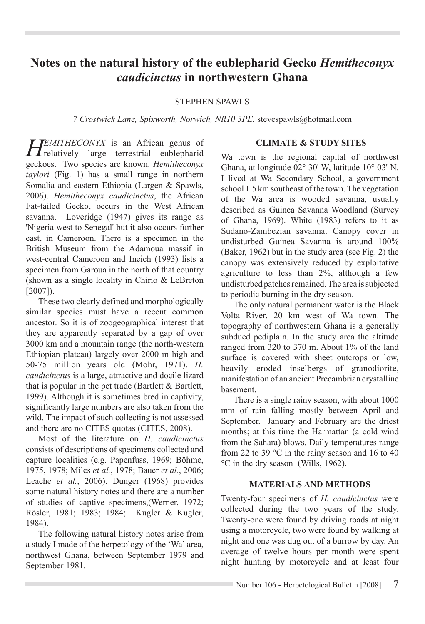# **Notes on the natural history of the eublepharid Gecko** *Hemitheconyx caudicinctus* **in northwestern Ghana**

#### STEPHEN SPAWLS

*7 Crostwick Lane, Spixworth, Norwich, NR10 3PE.* stevespawls@hotmail.com

**HEMITHECONYX** is an African genus of  $\prod$  relatively large terrestrial eublepharid geckoes. Two species are known. *Hemitheconyx taylori* (Fig. 1) has a small range in northern Somalia and eastern Ethiopia (Largen & Spawls, 2006). *Hemitheconyx caudicinctus*, the African Fat-tailed Gecko, occurs in the West African savanna. Loveridge (1947) gives its range as 'Nigeria west to Senegal' but it also occurs further east, in Cameroon. There is a specimen in the British Museum from the Adamoua massif in west-central Cameroon and Ineich (1993) lists a specimen from Garoua in the north of that country (shown as a single locality in Chirio & LeBreton [2007]).

These two clearly defined and morphologically similar species must have a recent common ancestor. So it is of zoogeographical interest that they are apparently separated by a gap of over 3000 km and a mountain range (the north-western Ethiopian plateau) largely over 2000 m high and 50-75 million years old (Mohr, 1971). *H. caudicinctus* is a large, attractive and docile lizard that is popular in the pet trade (Bartlett  $\&$  Bartlett, 1999). Although it is sometimes bred in captivity, significantly large numbers are also taken from the wild. The impact of such collecting is not assessed and there are no CITES quotas (CITES, 2008).

Most of the literature on *H. caudicinctus*  consists of descriptions of specimens collected and capture localities (e.g. Papenfuss, 1969; Böhme, 1975, 1978; Miles *et al.*, 1978; Bauer *et al.*, 2006; Leache *et al.*, 2006). Dunger (1968) provides some natural history notes and there are a number of studies of captive specimens,(Werner, 1972; Rösler, 1981; 1983; 1984; Kugler & Kugler, 1984).

The following natural history notes arise from a study I made of the herpetology of the 'Wa' area, northwest Ghana, between September 1979 and September 1981.

#### **CLIMATE & STUDY SITES**

Wa town is the regional capital of northwest Ghana, at longitude 02° 30' W, latitude 10° 03' N. I lived at Wa Secondary School, a government school 1.5 km southeast of the town. The vegetation of the Wa area is wooded savanna, usually described as Guinea Savanna Woodland (Survey of Ghana, 1969). White (1983) refers to it as Sudano-Zambezian savanna. Canopy cover in undisturbed Guinea Savanna is around 100% (Baker, 1962) but in the study area (see Fig. 2) the canopy was extensively reduced by exploitative agriculture to less than 2%, although a few undisturbed patches remained. The area is subjected to periodic burning in the dry season.

The only natural permanent water is the Black Volta River, 20 km west of Wa town. The topography of northwestern Ghana is a generally subdued pediplain. In the study area the altitude ranged from 320 to 370 m. About 1% of the land surface is covered with sheet outcrops or low. heavily eroded inselbergs of granodiorite, manifestation of an ancient Precambrian crystalline basement.

There is a single rainy season, with about 1000 mm of rain falling mostly between April and September. January and February are the driest months; at this time the Harmattan (a cold wind from the Sahara) blows. Daily temperatures range from 22 to 39 °C in the rainy season and 16 to 40 °C in the dry season (Wills, 1962).

#### **Materials and methods**

Twenty-four specimens of *H. caudicinctus* were collected during the two years of the study. Twenty-one were found by driving roads at night using a motorcycle, two were found by walking at night and one was dug out of a burrow by day. An average of twelve hours per month were spent night hunting by motorcycle and at least four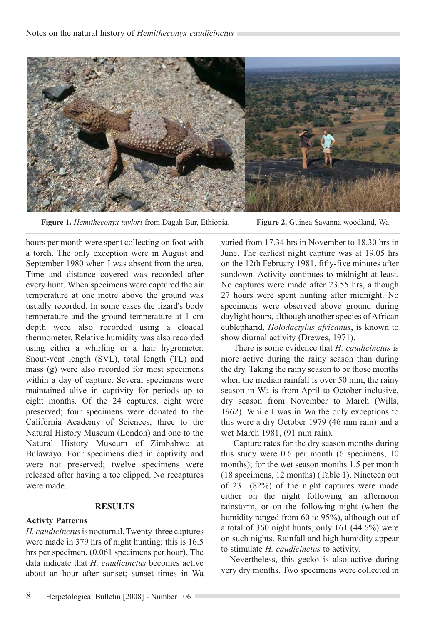

 **Figure 1.** *Hemitheconyx taylori* from Dagah Bur, Ethiopia. **Figure 2.** Guinea Savanna woodland, Wa.

hours per month were spent collecting on foot with a torch. The only exception were in August and September 1980 when I was absent from the area. Time and distance covered was recorded after every hunt. When specimens were captured the air temperature at one metre above the ground was usually recorded. In some cases the lizard's body temperature and the ground temperature at 1 cm depth were also recorded using a cloacal thermometer. Relative humidity was also recorded using either a whirling or a hair hygrometer. Snout-vent length (SVL), total length (TL) and mass (g) were also recorded for most specimens within a day of capture. Several specimens were maintained alive in captivity for periods up to eight months. Of the 24 captures, eight were preserved; four specimens were donated to the California Academy of Sciences, three to the Natural History Museum (London) and one to the Natural History Museum of Zimbabwe at Bulawayo. Four specimens died in captivity and were not preserved; twelve specimens were released after having a toe clipped. No recaptures were made.

#### **RESULTS**

### **Activty Patterns**

*H. caudicinctus* is nocturnal. Twenty-three captures were made in 379 hrs of night hunting; this is 16.5 hrs per specimen, (0.061 specimens per hour). The data indicate that *H. caudicinctus* becomes active about an hour after sunset; sunset times in Wa

varied from 17.34 hrs in November to 18.30 hrs in June. The earliest night capture was at 19.05 hrs on the 12th February 1981, fifty-five minutes after sundown. Activity continues to midnight at least. No captures were made after 23.55 hrs, although 27 hours were spent hunting after midnight. No specimens were observed above ground during daylight hours, although another species of African eublepharid, *Holodactylus africanus*, is known to show diurnal activity (Drewes, 1971).

There is some evidence that *H. caudicinctus* is more active during the rainy season than during the dry. Taking the rainy season to be those months when the median rainfall is over 50 mm, the rainy season in Wa is from April to October inclusive, dry season from November to March (Wills, 1962). While I was in Wa the only exceptions to this were a dry October 1979 (46 mm rain) and a wet March 1981, (91 mm rain).

Capture rates for the dry season months during this study were 0.6 per month (6 specimens, 10 months); for the wet season months 1.5 per month (18 specimens, 12 months) (Table 1). Nineteen out of 23 (82%) of the night captures were made either on the night following an afternoon rainstorm, or on the following night (when the humidity ranged from 60 to 95%), although out of a total of 360 night hunts, only 161 (44.6%) were on such nights. Rainfall and high humidity appear to stimulate *H. caudicinctus* to activity.

Nevertheless, this gecko is also active during very dry months. Two specimens were collected in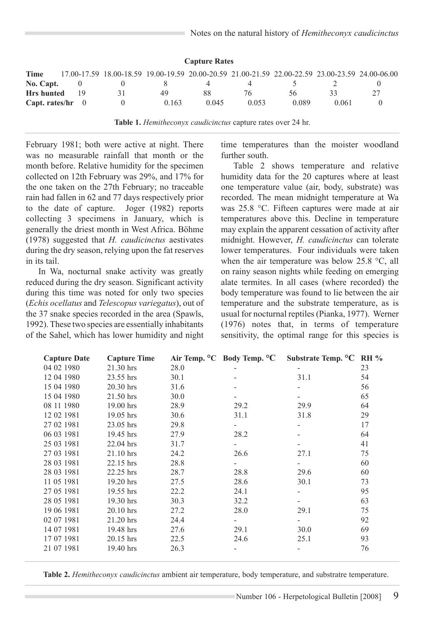| <b>Capture Rates</b> |    |  |       |                                                                                                 |       |       |       |  |  |  |  |  |
|----------------------|----|--|-------|-------------------------------------------------------------------------------------------------|-------|-------|-------|--|--|--|--|--|
| Time                 |    |  |       | 17.00-17.59 18.00-18.59 19.00-19.59 20.00-20.59 21.00-21.59 22.00-22.59 23.00-23.59 24.00-06.00 |       |       |       |  |  |  |  |  |
| No. Capt.            |    |  |       |                                                                                                 |       |       |       |  |  |  |  |  |
| <b>Hrs</b> hunted    | 19 |  | 49    | 88                                                                                              | 76    | 56    |       |  |  |  |  |  |
| Capt. rates/hr $0$   |    |  | 0.163 | 0.045                                                                                           | 0.053 | 0.089 | 0.061 |  |  |  |  |  |

**Table 1.** *Hemitheconyx caudicinctus* capture rates over 24 hr.

February 1981; both were active at night. There was no measurable rainfall that month or the month before. Relative humidity for the specimen collected on 12th February was 29%, and 17% for the one taken on the 27th February; no traceable rain had fallen in 62 and 77 days respectively prior to the date of capture. Joger (1982) reports collecting 3 specimens in January, which is generally the driest month in West Africa. Böhme (1978) suggested that *H. caudicinctus* aestivates during the dry season, relying upon the fat reserves in its tail.

In Wa, nocturnal snake activity was greatly reduced during the dry season. Significant activity during this time was noted for only two species (*Echis ocellatus* and *Telescopus variegatus*), out of the 37 snake species recorded in the area (Spawls, 1992). These two species are essentially inhabitants of the Sahel, which has lower humidity and night

time temperatures than the moister woodland further south.

Table 2 shows temperature and relative humidity data for the 20 captures where at least one temperature value (air, body, substrate) was recorded. The mean midnight temperature at Wa was 25.8 °C. Fifteen captures were made at air temperatures above this. Decline in temperature may explain the apparent cessation of activity after midnight. However, *H. caudicinctus* can tolerate lower temperatures. Four individuals were taken when the air temperature was below 25.8 °C, all on rainy season nights while feeding on emerging alate termites. In all cases (where recorded) the body temperature was found to lie between the air temperature and the substrate temperature, as is usual for nocturnal reptiles (Pianka, 1977). Werner (1976) notes that, in terms of temperature sensitivity, the optimal range for this species is

| <b>Capture Date</b> | <b>Capture Time</b> |      |                          | Air Temp. °C Body Temp. °C Substrate Temp. °C RH % |    |
|---------------------|---------------------|------|--------------------------|----------------------------------------------------|----|
| 04 02 1980          | 21.30 hrs           | 28.0 |                          |                                                    | 23 |
| 12 04 1980          | 23.55 hrs           | 30.1 |                          | 31.1                                               | 54 |
| 15 04 1980          | 20.30 hrs           | 31.6 |                          |                                                    | 56 |
| 15 04 1980          | 21.50 hrs           | 30.0 |                          |                                                    | 65 |
| 08 11 1980          | $19.00$ hrs         | 28.9 | 29.2                     | 29.9                                               | 64 |
| 12 02 1981          | $19.05$ hrs         | 30.6 | 31.1                     | 31.8                                               | 29 |
| 27 02 1981          | 23.05 hrs           | 29.8 |                          |                                                    | 17 |
| 06 03 1981          | 19.45 hrs           | 27.9 | 28.2                     |                                                    | 64 |
| 25 03 1981          | $22.04$ hrs         | 31.7 |                          |                                                    | 41 |
| 27 03 1981          | 21.10 hrs           | 24.2 | 26.6                     | 27.1                                               | 75 |
| 28 03 1981          | 22.15 hrs           | 28.8 | $\overline{\phantom{0}}$ |                                                    | 60 |
| 28 03 1981          | 22.25 hrs           | 28.7 | 28.8                     | 29.6                                               | 60 |
| 11 05 1981          | $19.20$ hrs         | 27.5 | 28.6                     | 30.1                                               | 73 |
| 27 05 1981          | 19.55 hrs           | 22.2 | 24.1                     |                                                    | 95 |
| 28 05 1981          | 19.30 hrs           | 30.3 | 32.2                     |                                                    | 63 |
| 19 06 1981          | 20.10 hrs           | 27.2 | 28.0                     | 29.1                                               | 75 |
| 02 07 1981          | 21.20 hrs           | 24.4 |                          |                                                    | 92 |
| 14 07 1981          | 19.48 hrs           | 27.6 | 29.1                     | 30.0                                               | 69 |
| 17 07 1981          | $20.15$ hrs         | 22.5 | 24.6                     | 25.1                                               | 93 |
| 21 07 1981          | 19.40 hrs           | 26.3 |                          |                                                    | 76 |

**Table 2.** *Hemitheconyx caudicinctus* ambient air temperature, body temperature, and substratre temperature.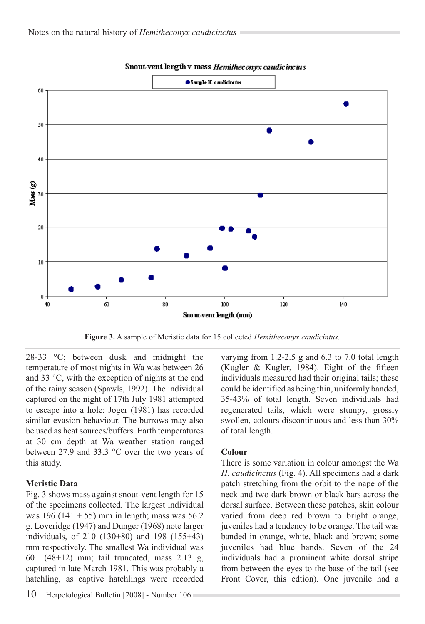

#### Snout-vent length v mass Hemitheconyx caudicinctus

**Figure 3.** A sample of Meristic data for 15 collected *Hemitheconyx caudicintus.*

28-33 °C; between dusk and midnight the temperature of most nights in Wa was between 26 and 33 °C, with the exception of nights at the end of the rainy season (Spawls, 1992). The individual captured on the night of 17th July 1981 attempted to escape into a hole; Joger (1981) has recorded similar evasion behaviour. The burrows may also be used as heat sources/buffers. Earth temperatures at 30 cm depth at Wa weather station ranged between 27.9 and 33.3 °C over the two years of this study.

### **Meristic Data**

Fig. 3 shows mass against snout-vent length for 15 of the specimens collected. The largest individual was 196 (141 + 55) mm in length; mass was  $56.2$ g. Loveridge (1947) and Dunger (1968) note larger individuals, of 210 (130+80) and 198 (155+43) mm respectively. The smallest Wa individual was 60 (48+12) mm; tail truncated, mass 2.13 g, captured in late March 1981. This was probably a hatchling, as captive hatchlings were recorded varying from 1.2-2.5 g and 6.3 to 7.0 total length (Kugler & Kugler, 1984). Eight of the fifteen individuals measured had their original tails; these could be identified as being thin, uniformly banded, 35-43% of total length. Seven individuals had regenerated tails, which were stumpy, grossly swollen, colours discontinuous and less than 30% of total length.

#### **Colour**

There is some variation in colour amongst the Wa *H. caudicinctus* (Fig. 4). All specimens had a dark patch stretching from the orbit to the nape of the neck and two dark brown or black bars across the dorsal surface. Between these patches, skin colour varied from deep red brown to bright orange, juveniles had a tendency to be orange. The tail was banded in orange, white, black and brown; some juveniles had blue bands. Seven of the 24 individuals had a prominent white dorsal stripe from between the eyes to the base of the tail (see Front Cover, this edtion). One juvenile had a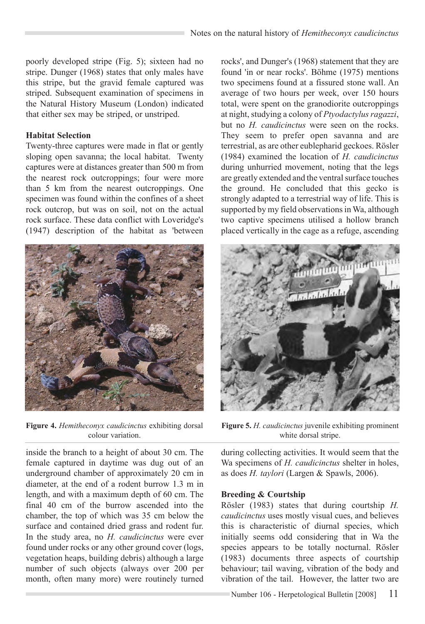poorly developed stripe (Fig. 5); sixteen had no stripe. Dunger (1968) states that only males have this stripe, but the gravid female captured was striped. Subsequent examination of specimens in the Natural History Museum (London) indicated that either sex may be striped, or unstriped.

### **Habitat Selection**

Twenty-three captures were made in flat or gently sloping open savanna; the local habitat. Twenty captures were at distances greater than 500 m from the nearest rock outcroppings; four were more than 5 km from the nearest outcroppings. One specimen was found within the confines of a sheet rock outcrop, but was on soil, not on the actual rock surface. These data conflict with Loveridge's (1947) description of the habitat as 'between



**Figure 4.** *Hemitheconyx caudicinctus* exhibiting dorsal colour variation.

inside the branch to a height of about 30 cm. The female captured in daytime was dug out of an underground chamber of approximately 20 cm in diameter, at the end of a rodent burrow 1.3 m in length, and with a maximum depth of 60 cm. The final 40 cm of the burrow ascended into the chamber, the top of which was 35 cm below the surface and contained dried grass and rodent fur. In the study area, no *H. caudicinctus* were ever found under rocks or any other ground cover (logs, vegetation heaps, building debris) although a large number of such objects (always over 200 per month, often many more) were routinely turned

rocks', and Dunger's (1968) statement that they are found 'in or near rocks'. Böhme (1975) mentions two specimens found at a fissured stone wall. An average of two hours per week, over 150 hours total, were spent on the granodiorite outcroppings at night, studying a colony of *Ptyodactylus ragazzi*, but no *H. caudicinctus* were seen on the rocks. They seem to prefer open savanna and are terrestrial, as are other eublepharid geckoes. Rösler (1984) examined the location of *H. caudicinctus* during unhurried movement, noting that the legs are greatly extended and the ventral surface touches the ground. He concluded that this gecko is strongly adapted to a terrestrial way of life. This is supported by my field observations in Wa, although two captive specimens utilised a hollow branch placed vertically in the cage as a refuge, ascending



**Figure 5.** *H. caudicinctus* juvenile exhibiting prominent white dorsal stripe.

during collecting activities. It would seem that the Wa specimens of *H. caudicinctus* shelter in holes, as does *H. taylori* (Largen & Spawls, 2006).

#### **Breeding & Courtship**

Rösler (1983) states that during courtship *H. caudicinctus* uses mostly visual cues, and believes this is characteristic of diurnal species, which initially seems odd considering that in Wa the species appears to be totally nocturnal. Rösler (1983) documents three aspects of courtship behaviour; tail waving, vibration of the body and vibration of the tail. However, the latter two are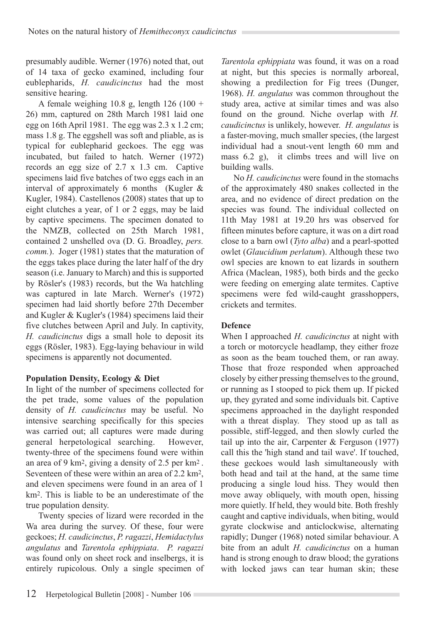presumably audible. Werner (1976) noted that, out of 14 taxa of gecko examined, including four eublepharids, *H. caudicinctus* had the most sensitive hearing.

A female weighing  $10.8$  g, length  $126$  ( $100 +$ 26) mm, captured on 28th March 1981 laid one egg on 16th April 1981. The egg was 2.3 x 1.2 cm; mass 1.8 g. The eggshell was soft and pliable, as is typical for eublepharid geckoes. The egg was incubated, but failed to hatch. Werner (1972) records an egg size of 2.7 x 1.3 cm. Captive specimens laid five batches of two eggs each in an interval of approximately 6 months (Kugler & Kugler, 1984). Castellenos (2008) states that up to eight clutches a year, of 1 or 2 eggs, may be laid by captive specimens. The specimen donated to the NMZB, collected on 25th March 1981, contained 2 unshelled ova (D. G. Broadley, *pers. comm.*). Joger (1981) states that the maturation of the eggs takes place during the later half of the dry season (i.e. January to March) and this is supported by Rösler's (1983) records, but the Wa hatchling was captured in late March. Werner's (1972) specimen had laid shortly before 27th December and Kugler & Kugler's (1984) specimens laid their five clutches between April and July. In captivity, *H. caudicinctus* digs a small hole to deposit its eggs (Rösler, 1983). Egg-laying behaviour in wild specimens is apparently not documented.

# **Population Density, Ecology & Diet**

In light of the number of specimens collected for the pet trade, some values of the population density of *H. caudicinctus* may be useful. No intensive searching specifically for this species was carried out; all captures were made during general herpetological searching. However, twenty-three of the specimens found were within an area of 9 km2, giving a density of 2.5 per km2 . Seventeen of these were within an area of 2.2 km2, and eleven specimens were found in an area of 1 km2. This is liable to be an underestimate of the true population density.

Twenty species of lizard were recorded in the Wa area during the survey. Of these, four were geckoes; *H. caudicinctus*, *P. ragazzi*, *Hemidactylus angulatus* and *Tarentola ephippiata*. *P. ragazzi*  was found only on sheet rock and inselbergs, it is entirely rupicolous. Only a single specimen of

*Tarentola ephippiata* was found, it was on a road at night, but this species is normally arboreal, showing a predilection for Fig trees (Dunger, 1968). *H. angulatus* was common throughout the study area, active at similar times and was also found on the ground. Niche overlap with *H. caudicinctus* is unlikely, however. *H. angulatus* is a faster-moving, much smaller species, (the largest individual had a snout-vent length 60 mm and mass 6.2 g), it climbs trees and will live on building walls.

No *H. caudicinctus* were found in the stomachs of the approximately 480 snakes collected in the area, and no evidence of direct predation on the species was found. The individual collected on 11th May 1981 at 19.20 hrs was observed for fifteen minutes before capture, it was on a dirt road close to a barn owl (*Tyto alba*) and a pearl-spotted owlet (*Glaucidium perlatum*). Although these two owl species are known to eat lizards in southern Africa (Maclean, 1985), both birds and the gecko were feeding on emerging alate termites. Captive specimens were fed wild-caught grasshoppers, crickets and termites.

# **Defence**

When I approached *H. caudicinctus* at night with a torch or motorcycle headlamp, they either froze as soon as the beam touched them, or ran away. Those that froze responded when approached closely by either pressing themselves to the ground, or running as I stooped to pick them up. If picked up, they gyrated and some individuals bit. Captive specimens approached in the daylight responded with a threat display. They stood up as tall as possible, stiff-legged, and then slowly curled the tail up into the air, Carpenter & Ferguson (1977) call this the 'high stand and tail wave'. If touched, these geckoes would lash simultaneously with both head and tail at the hand, at the same time producing a single loud hiss. They would then move away obliquely, with mouth open, hissing more quietly. If held, they would bite. Both freshly caught and captive individuals, when biting, would gyrate clockwise and anticlockwise, alternating rapidly; Dunger (1968) noted similar behaviour. A bite from an adult *H. caudicinctus* on a human hand is strong enough to draw blood; the gyrations with locked jaws can tear human skin; these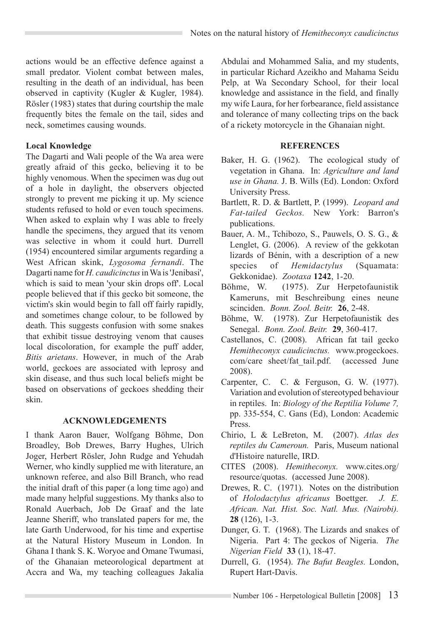actions would be an effective defence against a small predator. Violent combat between males, resulting in the death of an individual, has been observed in captivity (Kugler & Kugler, 1984). Rösler (1983) states that during courtship the male frequently bites the female on the tail, sides and neck, sometimes causing wounds.

# **Local Knowledge**

The Dagarti and Wali people of the Wa area were greatly afraid of this gecko, believing it to be highly venomous. When the specimen was dug out of a hole in daylight, the observers objected strongly to prevent me picking it up. My science students refused to hold or even touch specimens. When asked to explain why I was able to freely handle the specimens, they argued that its venom was selective in whom it could hurt. Durrell (1954) encountered similar arguments regarding a West African skink, *Lygosoma fernandi*. The Dagarti name for *H. caudicinctus* in Wa is 'Jenibasi', which is said to mean 'your skin drops off'. Local people believed that if this gecko bit someone, the victim's skin would begin to fall off fairly rapidly, and sometimes change colour, to be followed by death. This suggests confusion with some snakes that exhibit tissue destroying venom that causes local discoloration, for example the puff adder, *Bitis arietans*. However, in much of the Arab world, geckoes are associated with leprosy and skin disease, and thus such local beliefs might be based on observations of geckoes shedding their skin.

### **ACKNOWLEDGEMENTS**

I thank Aaron Bauer, Wolfgang Böhme, Don Broadley, Bob Drewes, Barry Hughes, Ulrich Joger, Herbert Rösler, John Rudge and Yehudah Werner, who kindly supplied me with literature, an unknown referee, and also Bill Branch, who read the initial draft of this paper (a long time ago) and made many helpful suggestions. My thanks also to Ronald Auerbach, Job De Graaf and the late Jeanne Sheriff, who translated papers for me, the late Garth Underwood, for his time and expertise at the Natural History Museum in London. In Ghana I thank S. K. Woryoe and Omane Twumasi, of the Ghanaian meteorological department at Accra and Wa, my teaching colleagues Jakalia

Abdulai and Mohammed Salia, and my students, in particular Richard Azeikho and Mahama Seidu Pelp, at Wa Secondary School, for their local knowledge and assistance in the field, and finally my wife Laura, for her forbearance, field assistance and tolerance of many collecting trips on the back of a rickety motorcycle in the Ghanaian night.

# **REFERENCES**

- Baker, H. G. (1962). The ecological study of vegetation in Ghana. In: *Agriculture and land use in Ghana.* J. B. Wills (Ed). London: Oxford University Press.
- Bartlett, R. D. & Bartlett, P. (1999). *Leopard and Fat-tailed Geckos.* New York: Barron's publications.
- Bauer, A. M., Tchibozo, S., Pauwels, O. S. G., & Lenglet, G. (2006). A review of the gekkotan lizards of Bénin, with a description of a new species of *Hemidactylus* (Squamata: Gekkonidae). *Zootaxa* **1242**, 1-20.
- Böhme, W. (1975). Zur Herpetofaunistik Kameruns, mit Beschreibung eines neune scinciden. *Bonn. Zool. Beitr.* **26**, 2-48.
- Böhme, W. (1978). Zur Herpetofaunistik des Senegal. *Bonn. Zool. Beitr.* **29**, 360-417.
- Castellanos, C. (2008). African fat tail gecko *Hemitheconyx caudicinctus.* www.progeckoes. com/care sheet/fat\_tail.pdf. (accessed June 2008).
- Carpenter, C. C. & Ferguson, G. W. (1977). Variation and evolution of stereotyped behaviour in reptiles. In: *Biology of the Reptilia Volume 7,*  pp. 335-554, C. Gans (Ed), London: Academic Press.
- Chirio, L & LeBreton, M. (2007). *Atlas des reptiles du Cameroun.* Paris, Museum national d'Histoire naturelle, IRD.
- CITES (2008). *Hemitheconyx.* www.cites.org/ resource/quotas. (accessed June 2008).
- Drewes, R. C. (1971). Notes on the distribution of *Holodactylus africanus* Boettger. *J. E. African. Nat. Hist. Soc. Natl. Mus. (Nairobi).*  **28** (126), 1-3.
- Dunger, G. T. (1968). The Lizards and snakes of Nigeria. Part 4: The geckos of Nigeria. *The Nigerian Field* **33** (1), 18-47.
- Durrell, G. (1954). *The Bafut Beagles.* London, Rupert Hart-Davis.